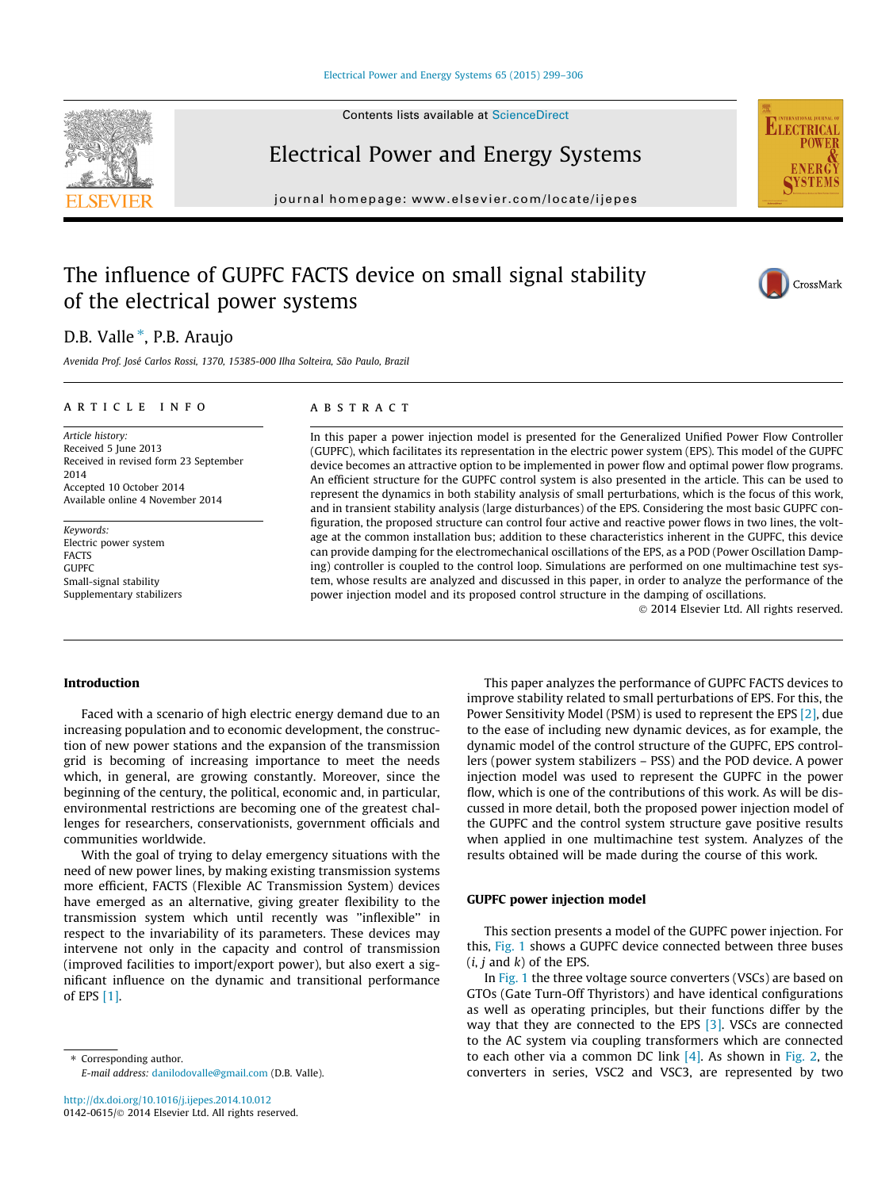#### [Electrical Power and Energy Systems 65 \(2015\) 299–306](http://dx.doi.org/10.1016/j.ijepes.2014.10.012)

Contents lists available at [ScienceDirect](http://www.sciencedirect.com/science/journal/01420615)

# Electrical Power and Energy Systems

journal homepage: [www.elsevier.com/locate/ijepes](http://www.elsevier.com/locate/ijepes)

## The influence of GUPFC FACTS device on small signal stability of the electrical power systems

### D.B. Valle<sup>\*</sup>, P.B. Araujo

Avenida Prof. José Carlos Rossi, 1370, 15385-000 Ilha Solteira, São Paulo, Brazil

#### article info

Article history: Received 5 June 2013 Received in revised form 23 September 2014 Accepted 10 October 2014 Available online 4 November 2014

Keywords: Electric power system FACTS **GUPFC** Small-signal stability Supplementary stabilizers

#### **ABSTRACT**

In this paper a power injection model is presented for the Generalized Unified Power Flow Controller (GUPFC), which facilitates its representation in the electric power system (EPS). This model of the GUPFC device becomes an attractive option to be implemented in power flow and optimal power flow programs. An efficient structure for the GUPFC control system is also presented in the article. This can be used to represent the dynamics in both stability analysis of small perturbations, which is the focus of this work, and in transient stability analysis (large disturbances) of the EPS. Considering the most basic GUPFC configuration, the proposed structure can control four active and reactive power flows in two lines, the voltage at the common installation bus; addition to these characteristics inherent in the GUPFC, this device can provide damping for the electromechanical oscillations of the EPS, as a POD (Power Oscillation Damping) controller is coupled to the control loop. Simulations are performed on one multimachine test system, whose results are analyzed and discussed in this paper, in order to analyze the performance of the power injection model and its proposed control structure in the damping of oscillations.

- 2014 Elsevier Ltd. All rights reserved.

#### Introduction

Faced with a scenario of high electric energy demand due to an increasing population and to economic development, the construction of new power stations and the expansion of the transmission grid is becoming of increasing importance to meet the needs which, in general, are growing constantly. Moreover, since the beginning of the century, the political, economic and, in particular, environmental restrictions are becoming one of the greatest challenges for researchers, conservationists, government officials and communities worldwide.

With the goal of trying to delay emergency situations with the need of new power lines, by making existing transmission systems more efficient, FACTS (Flexible AC Transmission System) devices have emerged as an alternative, giving greater flexibility to the transmission system which until recently was ''inflexible'' in respect to the invariability of its parameters. These devices may intervene not only in the capacity and control of transmission (improved facilities to import/export power), but also exert a significant influence on the dynamic and transitional performance of EPS [\[1\]](#page--1-0).

⇑ Corresponding author. E-mail address: [danilodovalle@gmail.com](mailto:danilodovalle@gmail.com) (D.B. Valle).

This paper analyzes the performance of GUPFC FACTS devices to improve stability related to small perturbations of EPS. For this, the Power Sensitivity Model (PSM) is used to represent the EPS [\[2\],](#page--1-0) due to the ease of including new dynamic devices, as for example, the dynamic model of the control structure of the GUPFC, EPS controllers (power system stabilizers – PSS) and the POD device. A power injection model was used to represent the GUPFC in the power flow, which is one of the contributions of this work. As will be discussed in more detail, both the proposed power injection model of the GUPFC and the control system structure gave positive results when applied in one multimachine test system. Analyzes of the results obtained will be made during the course of this work.

#### GUPFC power injection model

This section presents a model of the GUPFC power injection. For this, [Fig. 1](#page-1-0) shows a GUPFC device connected between three buses  $(i, j$  and  $k)$  of the EPS.

In [Fig. 1](#page-1-0) the three voltage source converters (VSCs) are based on GTOs (Gate Turn-Off Thyristors) and have identical configurations as well as operating principles, but their functions differ by the way that they are connected to the EPS [\[3\]](#page--1-0). VSCs are connected to the AC system via coupling transformers which are connected to each other via a common DC link  $[4]$ . As shown in [Fig. 2](#page-1-0), the converters in series, VSC2 and VSC3, are represented by two





**ELECTRICAL STEM**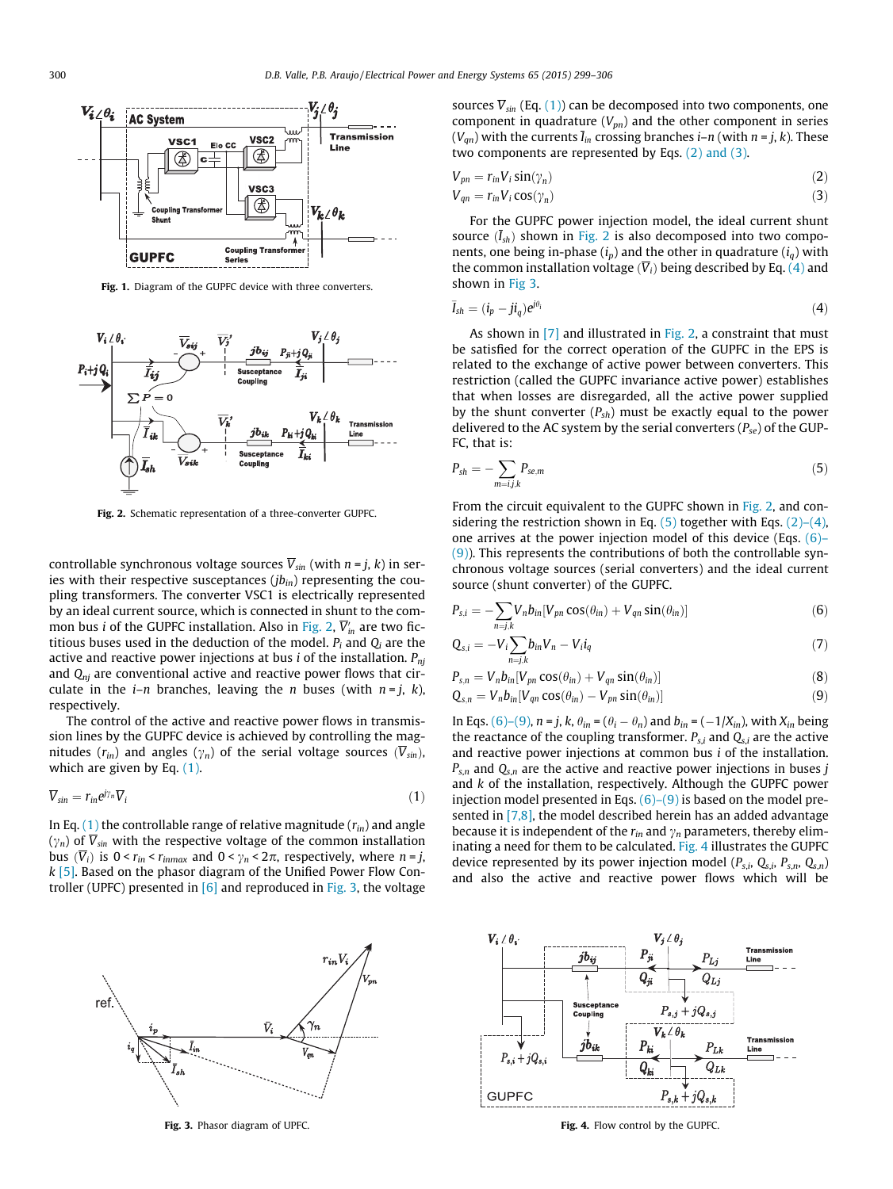<span id="page-1-0"></span>

Fig. 1. Diagram of the GUPFC device with three converters.



Fig. 2. Schematic representation of a three-converter GUPFC.

controllable synchronous voltage sources  $\overline{V}_{sin}$  (with  $n = j, k$ ) in series with their respective susceptances  $(jb_{in})$  representing the coupling transformers. The converter VSC1 is electrically represented by an ideal current source, which is connected in shunt to the common bus  $i$  of the GUPFC installation. Also in Fig. 2,  $\overline V_{in}'$  are two fictitious buses used in the deduction of the model.  $P_i$  and  $Q_i$  are the active and reactive power injections at bus *i* of the installation.  $P_{nj}$ and  $Q_{nj}$  are conventional active and reactive power flows that circulate in the *i*-*n* branches, leaving the *n* buses (with  $n = j$ , *k*), respectively.

The control of the active and reactive power flows in transmission lines by the GUPFC device is achieved by controlling the magnitudes ( $r_{in}$ ) and angles ( $\gamma_n$ ) of the serial voltage sources ( $\overline{V}_{sin}$ ), which are given by Eq. (1).

$$
\overline{V}_{\sin} = r_{in} e^{j\gamma_n} \overline{V}_i \tag{1}
$$

In Eq. (1) the controllable range of relative magnitude ( $r_{in}$ ) and angle  $(\gamma_n)$  of  $\overline{V}_{\text{sin}}$  with the respective voltage of the common installation bus  $(\overline{V}_i)$  is  $0 < r_{in} < r_{inmax}$  and  $0 < \gamma_n < 2\pi$ , respectively, where  $n = j$ , k [\[5\].](#page--1-0) Based on the phasor diagram of the Unified Power Flow Controller (UPFC) presented in  $[6]$  and reproduced in Fig. 3, the voltage



Fig. 3. Phasor diagram of UPFC.

sources  $\overline{V}_{sin}$  (Eq. (1)) can be decomposed into two components, one component in quadrature  $(V_{pn})$  and the other component in series  $(V_{an})$  with the currents  $\bar{I}_{in}$  crossing branches *i*–*n* (with *n* = *j*, *k*). These two components are represented by Eqs.  $(2)$  and  $(3)$ .

$$
V_{pn} = r_{in} V_i \sin(\gamma_n) \tag{2}
$$

$$
V_{qn} = r_{in} V_i \cos(\gamma_n) \tag{3}
$$

For the GUPFC power injection model, the ideal current shunt source  $(\bar{I}_{sh})$  shown in Fig. 2 is also decomposed into two components, one being in-phase  $(i_n)$  and the other in quadrature  $(i_q)$  with the common installation voltage  $(\overline{V}_i)$  being described by Eq. (4) and shown in Fig 3.

$$
\bar{I}_{sh} = (i_p - ji_q)e^{j\theta_i} \tag{4}
$$

As shown in [\[7\]](#page--1-0) and illustrated in Fig. 2, a constraint that must be satisfied for the correct operation of the GUPFC in the EPS is related to the exchange of active power between converters. This restriction (called the GUPFC invariance active power) establishes that when losses are disregarded, all the active power supplied by the shunt converter  $(P_{sh})$  must be exactly equal to the power delivered to the AC system by the serial converters  $(P_{se})$  of the GUP-FC, that is:

$$
P_{sh} = -\sum_{m=i,j,k} P_{se,m} \tag{5}
$$

From the circuit equivalent to the GUPFC shown in Fig. 2, and considering the restriction shown in Eq.  $(5)$  together with Eqs.  $(2)-(4)$ , one arrives at the power injection model of this device (Eqs.  $(6)$ – (9)). This represents the contributions of both the controllable synchronous voltage sources (serial converters) and the ideal current source (shunt converter) of the GUPFC.

$$
P_{s,i} = -\sum_{n=j,k} V_n b_{in} [V_{pn} \cos(\theta_{in}) + V_{qn} \sin(\theta_{in})]
$$
(6)

$$
Q_{s,i} = -V_i \sum_{n=j,k} b_{in} V_n - V_i i_q \tag{7}
$$

$$
P_{s,n} = V_n b_{in} [V_{pn} \cos(\theta_{in}) + V_{qn} \sin(\theta_{in})]
$$
\n(8)

$$
Q_{s,n} = V_n b_{in} [V_{qn} \cos(\theta_{in}) - V_{pn} \sin(\theta_{in})]
$$
\n(9)

In Eqs. (6)–(9),  $n = j$ ,  $k$ ,  $\theta_{in} = (\theta_i - \theta_n)$  and  $b_{in} = (-1/X_{in})$ , with  $X_{in}$  being the reactance of the coupling transformer.  $P_{s,i}$  and  $Q_{s,i}$  are the active and reactive power injections at common bus i of the installation.  $P_{s,n}$  and  $Q_{s,n}$  are the active and reactive power injections in buses j and  $k$  of the installation, respectively. Although the GUPFC power injection model presented in Eqs.  $(6)-(9)$  is based on the model presented in  $[7,8]$ , the model described herein has an added advantage because it is independent of the  $r_{in}$  and  $\gamma_n$  parameters, thereby eliminating a need for them to be calculated. Fig. 4 illustrates the GUPFC device represented by its power injection model ( $P_{s,i}$ ,  $Q_{s,i}$ ,  $P_{s,n}$ ,  $Q_{s,n}$ ) and also the active and reactive power flows which will be



Fig. 4. Flow control by the GUPFC.